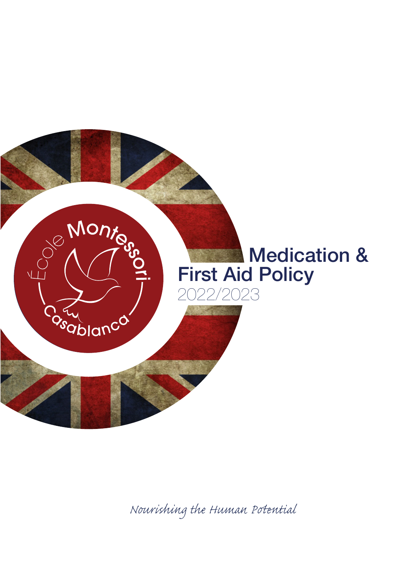

*Nourishing the Human Pential*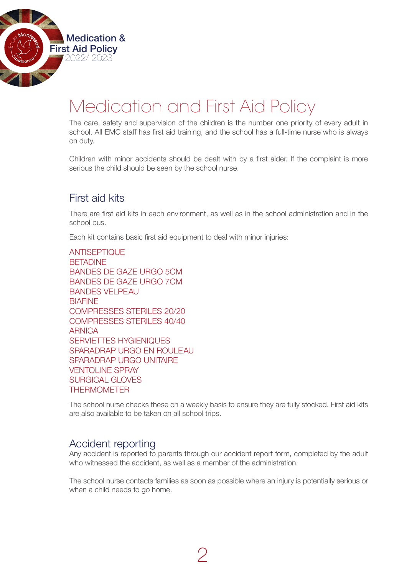

# Medication and First Aid Policy

The care, safety and supervision of the children is the number one priority of every adult in school. All EMC staff has first aid training, and the school has a full-time nurse who is always on duty.

Children with minor accidents should be dealt with by a first aider. If the complaint is more serious the child should be seen by the school nurse.

## First aid kits

There are first aid kits in each environment, as well as in the school administration and in the school bus.

Each kit contains basic first aid equipment to deal with minor injuries:

**ANTISEPTIOUE BETADINE** BANDES DE GAZE URGO 5CM BANDES DE GAZE URGO 7CM BANDES VELPEAU **BIAFINE** COMPRESSES STERILES 20/20 COMPRESSES STERILES 40/40 **ARNICA** SERVIETTES HYGIENIQUES SPARADRAP URGO EN ROULEAU SPARADRAP URGO UNITAIRE VENTOLINE SPRAY SURGICAL GLOVES **THERMOMETER** 

The school nurse checks these on a weekly basis to ensure they are fully stocked. First aid kits are also available to be taken on all school trips.

## Accident reporting

Any accident is reported to parents through our accident report form, completed by the adult who witnessed the accident, as well as a member of the administration.

The school nurse contacts families as soon as possible where an injury is potentially serious or when a child needs to go home.

2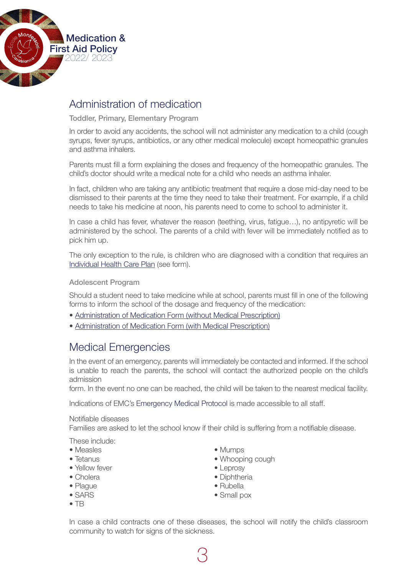

## Administration of medication

Toddler, Primary, Elementary Program

In order to avoid any accidents, the school will not administer any medication to a child (cough syrups, fever syrups, antibiotics, or any other medical molecule) except homeopathic granules and asthma inhalers.

Parents must fill a form explaining the doses and frequency of the homeopathic granules. The child's doctor should write a medical note for a child who needs an asthma inhaler.

In fact, children who are taking any antibiotic treatment that require a dose mid-day need to be dismissed to their parents at the time they need to take their treatment. For example, if a child needs to take his medicine at noon, his parents need to come to school to administer it.

In case a child has fever, whatever the reason (teething, virus, fatigue…), no antipyretic will be administered by the school. The parents of a child with fever will be immediately notified as to pick him up.

The only exception to the rule, is children who are diagnosed with a condition that requires an [Individual Health Care Plan \(](https://drive.google.com/file/d/1SoF8-OF3RzOpNXTl5h4rXAyHHar6wmTy/view?usp=sharing)see form).

#### Adolescent Program

Should a student need to take medicine while at school, parents must fill in one of the following forms to inform the school of the dosage and frequency of the medication:

- [Administration of Medication Form \(without Medical Prescription\)](https://drive.google.com/file/d/1uRmHDP9_lS0r97Wr2L2B3edb7wB-cb7j/view?usp=sharing)
- [Administration of Medication Form \(with Medical Prescription\)](https://drive.google.com/file/d/1YpmtPwdoiCAto_CvRS2E91DWNG-I1MOi/view?usp=sharing)

## Medical Emergencies

In the event of an emergency, parents will immediately be contacted and informed. If the school is unable to reach the parents, the school will contact the authorized people on the child's admission

form. In the event no one can be reached, the child will be taken to the nearest medical facility.

Indications of EMC's Emergency Medical Protocol is made accessible to all staff.

#### Notifiable diseases

Families are asked to let the school know if their child is suffering from a notifiable disease.

These include:

- Measles Mumps
- 
- Yellow fever leprosy
- 
- 
- 
- TB
- 
- Tetanus Whooping cough
	-
- Cholera **Diphtheria**
- Plaque Rubella
- SARS Small pox

In case a child contracts one of these diseases, the school will notify the child's classroom community to watch for signs of the sickness.

3